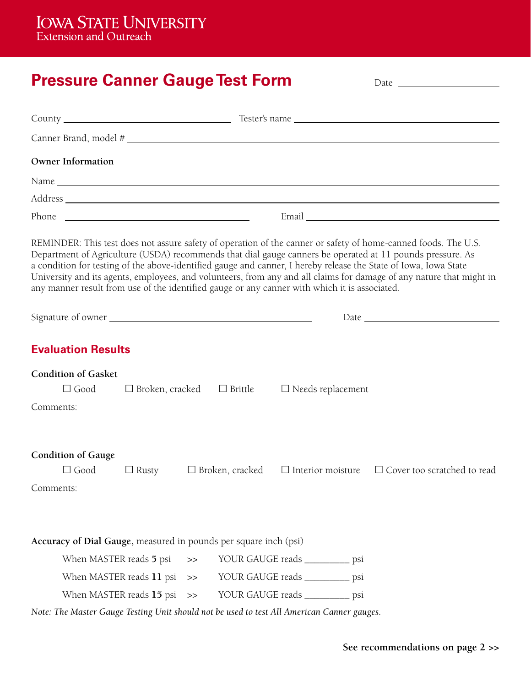# **Pressure Canner Gauge Test Form Date Allen Canner Gauge Test Form Date Allen Cannes**

| <b>Owner Information</b>                                                                                                                                                                                                       |                                                      |      |                                 |                          |  |                                                                                                                                                                                                                                                                                                                                                                                                                                                                         |  |
|--------------------------------------------------------------------------------------------------------------------------------------------------------------------------------------------------------------------------------|------------------------------------------------------|------|---------------------------------|--------------------------|--|-------------------------------------------------------------------------------------------------------------------------------------------------------------------------------------------------------------------------------------------------------------------------------------------------------------------------------------------------------------------------------------------------------------------------------------------------------------------------|--|
|                                                                                                                                                                                                                                |                                                      |      |                                 |                          |  |                                                                                                                                                                                                                                                                                                                                                                                                                                                                         |  |
| Address and the contract of the contract of the contract of the contract of the contract of the contract of the contract of the contract of the contract of the contract of the contract of the contract of the contract of th |                                                      |      |                                 |                          |  |                                                                                                                                                                                                                                                                                                                                                                                                                                                                         |  |
| Phone                                                                                                                                                                                                                          | <u> 1980 - Johann Barn, fransk politik (d. 1980)</u> |      |                                 |                          |  |                                                                                                                                                                                                                                                                                                                                                                                                                                                                         |  |
| any manner result from use of the identified gauge or any canner with which it is associated.                                                                                                                                  |                                                      |      |                                 |                          |  | REMINDER: This test does not assure safety of operation of the canner or safety of home-canned foods. The U.S.<br>Department of Agriculture (USDA) recommends that dial gauge canners be operated at 11 pounds pressure. As<br>a condition for testing of the above-identified gauge and canner, I hereby release the State of Iowa, Iowa State<br>University and its agents, employees, and volunteers, from any and all claims for damage of any nature that might in |  |
|                                                                                                                                                                                                                                |                                                      |      |                                 |                          |  |                                                                                                                                                                                                                                                                                                                                                                                                                                                                         |  |
| <b>Evaluation Results</b>                                                                                                                                                                                                      |                                                      |      |                                 |                          |  |                                                                                                                                                                                                                                                                                                                                                                                                                                                                         |  |
| <b>Condition of Gasket</b><br>$\Box$ Good<br>Comments:                                                                                                                                                                         | $\Box$ Broken, cracked                               |      | $\Box$ Brittle                  | $\Box$ Needs replacement |  |                                                                                                                                                                                                                                                                                                                                                                                                                                                                         |  |
| <b>Condition of Gauge</b><br>$\Box$ Good<br>Comments:                                                                                                                                                                          | $\Box$ Rusty                                         |      | $\Box$ Broken, cracked          | $\Box$ Interior moisture |  | $\Box$ Cover too scratched to read                                                                                                                                                                                                                                                                                                                                                                                                                                      |  |
| Accuracy of Dial Gauge, measured in pounds per square inch (psi)                                                                                                                                                               |                                                      |      |                                 |                          |  |                                                                                                                                                                                                                                                                                                                                                                                                                                                                         |  |
|                                                                                                                                                                                                                                | When MASTER reads 5 psi                              |      | YOUR GAUGE reads __________ psi |                          |  |                                                                                                                                                                                                                                                                                                                                                                                                                                                                         |  |
| When MASTER reads 11 psi                                                                                                                                                                                                       |                                                      | $>>$ | YOUR GAUGE reads _________ psi  |                          |  |                                                                                                                                                                                                                                                                                                                                                                                                                                                                         |  |
| When MASTER reads $15$ psi $\gg$                                                                                                                                                                                               |                                                      |      | YOUR GAUGE reads _________ psi  |                          |  |                                                                                                                                                                                                                                                                                                                                                                                                                                                                         |  |
| Note: The Master Gauge Testing Unit should not be used to test All American Canner gauges.                                                                                                                                     |                                                      |      |                                 |                          |  |                                                                                                                                                                                                                                                                                                                                                                                                                                                                         |  |